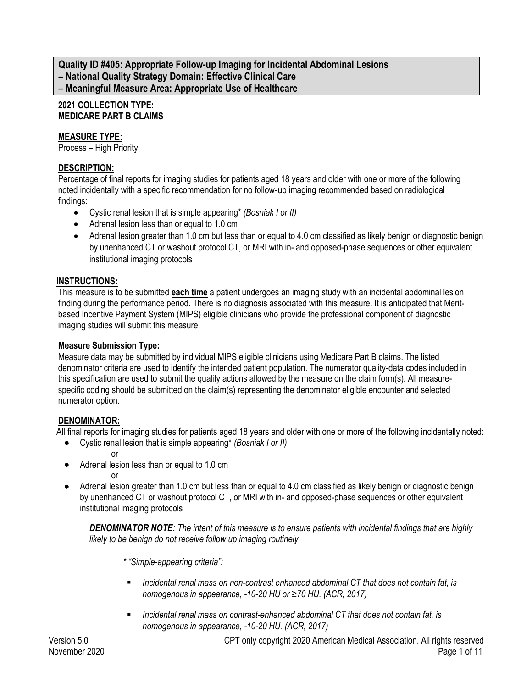**Quality ID #405: Appropriate Follow-up Imaging for Incidental Abdominal Lesions – National Quality Strategy Domain: Effective Clinical Care – Meaningful Measure Area: Appropriate Use of Healthcare**

### **2021 COLLECTION TYPE: MEDICARE PART B CLAIMS**

## **MEASURE TYPE:**

Process – High Priority

## **DESCRIPTION:**

Percentage of final reports for imaging studies for patients aged 18 years and older with one or more of the following noted incidentally with a specific recommendation for no follow‐up imaging recommended based on radiological findings:

- Cystic renal lesion that is simple appearing\* *(Bosniak I or II)*
- Adrenal lesion less than or equal to 1.0 cm
- Adrenal lesion greater than 1.0 cm but less than or equal to 4.0 cm classified as likely benign or diagnostic benign by unenhanced CT or washout protocol CT, or MRI with in- and opposed-phase sequences or other equivalent institutional imaging protocols

## **INSTRUCTIONS:**

This measure is to be submitted **each time** a patient undergoes an imaging study with an incidental abdominal lesion finding during the performance period. There is no diagnosis associated with this measure. It is anticipated that Meritbased Incentive Payment System (MIPS) eligible clinicians who provide the professional component of diagnostic imaging studies will submit this measure.

## **Measure Submission Type:**

Measure data may be submitted by individual MIPS eligible clinicians using Medicare Part B claims. The listed denominator criteria are used to identify the intended patient population. The numerator quality-data codes included in this specification are used to submit the quality actions allowed by the measure on the claim form(s). All measurespecific coding should be submitted on the claim(s) representing the denominator eligible encounter and selected numerator option.

# **DENOMINATOR:**

All final reports for imaging studies for patients aged 18 years and older with one or more of the following incidentally noted:

- Cystic renal lesion that is simple appearing\* *(Bosniak I or II)*
	- or

or

- Adrenal lesion less than or equal to 1.0 cm
	-
- Adrenal lesion greater than 1.0 cm but less than or equal to 4.0 cm classified as likely benign or diagnostic benign by unenhanced CT or washout protocol CT, or MRI with in- and opposed-phase sequences or other equivalent institutional imaging protocols

*DENOMINATOR NOTE: The intent of this measure is to ensure patients with incidental findings that are highly likely to be benign do not receive follow up imaging routinely.*

- *\* "Simple-appearing criteria":*
- *Incidental renal mass on non-contrast enhanced abdominal CT that does not contain fat, is homogenous in appearance, -10-20 HU or ≥70 HU. (ACR, 2017)*
- *Incidental renal mass on contrast-enhanced abdominal CT that does not contain fat, is homogenous in appearance, -10-20 HU. (ACR, 2017)*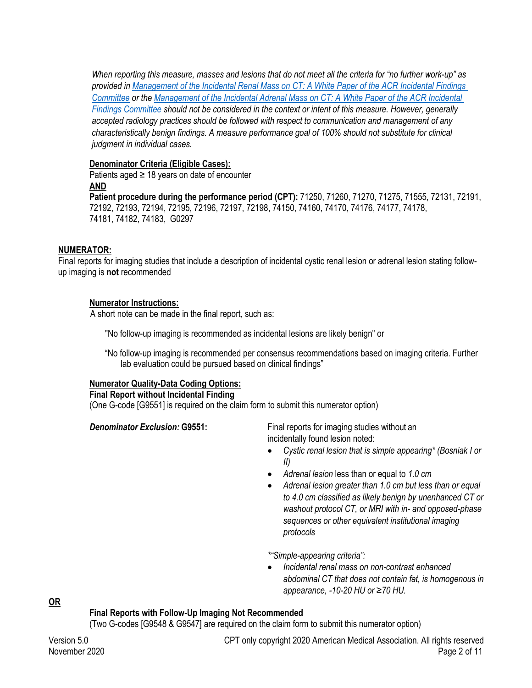*When reporting this measure, masses and lesions that do not meet all the criteria for "no further work-up" as provided in [Management of the Incidental Renal Mass on CT: A White Paper of the ACR Incidental Findings](http://www.jacr.org/article/S1546-1440(17)30497-0/pdf)  [Committee](http://www.jacr.org/article/S1546-1440(17)30497-0/pdf) or the Management of t[he Incidental Adrenal Mass on CT: A White Paper of the ACR Incidental](http://www.jacr.org/article/S1546-1440(17)30497-0/pdf)  [Findings Committee](http://www.jacr.org/article/S1546-1440(17)30497-0/pdf) should not be considered in the context or intent of this measure. However, generally accepted radiology practices should be followed with respect to communication and management of any characteristically benign findings. A measure performance goal of 100% should not substitute for clinical judgment in individual cases.*

### **Denominator Criteria (Eligible Cases):**

Patients aged  $\geq$  18 years on date of encounter **AND**

**Patient procedure during the performance period (CPT):** 71250, 71260, 71270, 71275, 71555, 72131, 72191, 72192, 72193, 72194, 72195, 72196, 72197, 72198, 74150, 74160, 74170, 74176, 74177, 74178, 74181, 74182, 74183, G0297

#### **NUMERATOR:**

Final reports for imaging studies that include a description of incidental cystic renal lesion or adrenal lesion stating followup imaging is **not** recommended

#### **Numerator Instructions:**

A short note can be made in the final report, such as:

"No follow-up imaging is recommended as incidental lesions are likely benign" or

"No follow-up imaging is recommended per consensus recommendations based on imaging criteria. Further lab evaluation could be pursued based on clinical findings"

#### **Numerator Quality-Data Coding Options:**

**Final Report without Incidental Finding**

(One G-code [G9551] is required on the claim form to submit this numerator option)

**Denominator Exclusion: G9551:** Final reports for imaging studies without an incidentally found lesion noted:

- *Cystic renal lesion that is simple appearing\* (Bosniak I or II)*
- *Adrenal lesion* less than or equal to *1.0 cm*
- *Adrenal lesion greater than 1.0 cm but less than or equal to 4.0 cm classified as likely benign by unenhanced CT or washout protocol CT, or MRI with in- and opposed-phase sequences or other equivalent institutional imaging protocols*

*\*"Simple-appearing criteria":*

• *Incidental renal mass on non-contrast enhanced abdominal CT that does not contain fat, is homogenous in appearance, -10-20 HU or ≥70 HU.* 

**OR**

#### **Final Reports with Follow-Up Imaging Not Recommended**

(Two G-codes [G9548 & G9547] are required on the claim form to submit this numerator option)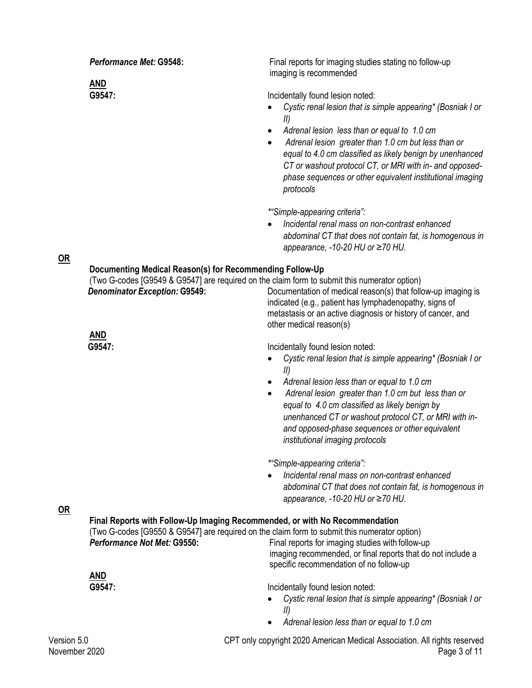Version 5.0 CPT only copyright 2020 American Medical Association. All rights reserved November 2020 Page 3 of 11 **Performance Met: G9548:** Final reports for imaging studies stating no follow-up imaging is recommended **AND** G9547: G9547: • *Cystic renal lesion that is simple appearing\* (Bosniak I or II) \*"Simple-appearing criteria":* • *Adrenal lesion less than or equal to 1.0 cm* • *Adrenal lesion greater than 1.0 cm but less than or equal to 4.0 cm classified as likely benign by unenhanced CT or washout protocol CT, or MRI with in- and opposedphase sequences or other equivalent institutional imaging protocols* • *Incidental renal mass on non-contrast enhanced abdominal CT that does not contain fat, is homogenous in appearance, -10-20 HU or ≥70 HU.*  **OR Documenting Medical Reason(s) for Recommending Follow-Up** (Two G-codes [G9549 & G9547] are required on the claim form to submit this numerator option) **Denominator Exception: G9549:** Documentation of medical reason(s) that follow-up imaging is indicated (e.g., patient has lymphadenopathy, signs of metastasis or an active diagnosis or history of cancer, and other medical reason(s) **AND** G9547: **G9547: Incidentally found lesion noted:** • *Cystic renal lesion that is simple appearing\* (Bosniak I or II) \*"Simple-appearing criteria":* • *Adrenal lesion less than or equal to 1.0 cm* • *Adrenal lesion greater than 1.0 cm but less than or equal to 4.0 cm classified as likely benign by unenhanced CT or washout protocol CT, or MRI with inand opposed-phase sequences or other equivalent institutional imaging protocols* • *Incidental renal mass on non-contrast enhanced abdominal CT that does not contain fat, is homogenous in appearance, -10-20 HU or ≥70 HU.*  **OR Final Reports with Follow-Up Imaging Recommended, or with No Recommendation** (Two G-codes [G9550 & G9547] are required on the claim form to submit this numerator option) **Performance Not Met: G9550:** Final reports for imaging studies with follow-up imaging recommended, or final reports that do not include a specific recommendation of no follow-up **AND G9547:** Incidentally found lesion noted: • *Cystic renal lesion that is simple appearing\* (Bosniak I or II)*  • *Adrenal lesion less than or equal to 1.0 cm*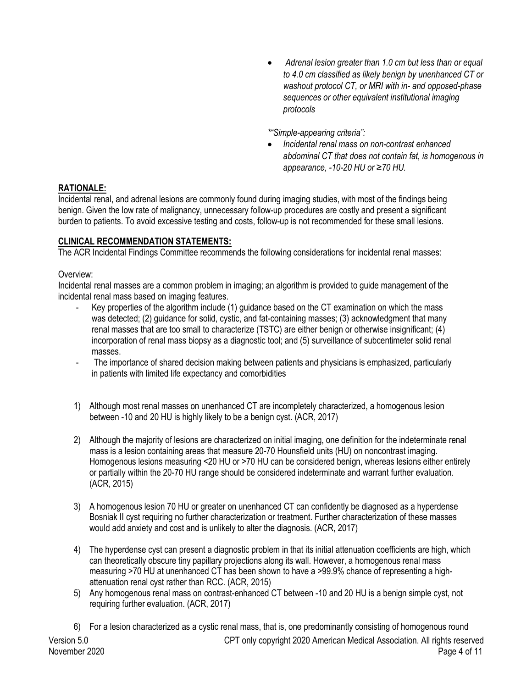• *Adrenal lesion greater than 1.0 cm but less than or equal to 4.0 cm classified as likely benign by unenhanced CT or washout protocol CT, or MRI with in- and opposed-phase sequences or other equivalent institutional imaging protocols*

*\*"Simple-appearing criteria":*

• *Incidental renal mass on non-contrast enhanced abdominal CT that does not contain fat, is homogenous in appearance, -10-20 HU or ≥70 HU.* 

## **RATIONALE:**

Incidental renal, and adrenal lesions are commonly found during imaging studies, with most of the findings being benign. Given the low rate of malignancy, unnecessary follow-up procedures are costly and present a significant burden to patients. To avoid excessive testing and costs, follow-up is not recommended for these small lesions.

## **CLINICAL RECOMMENDATION STATEMENTS:**

The ACR Incidental Findings Committee recommends the following considerations for incidental renal masses:

### Overview:

Incidental renal masses are a common problem in imaging; an algorithm is provided to guide management of the incidental renal mass based on imaging features.

- Key properties of the algorithm include (1) guidance based on the CT examination on which the mass was detected; (2) guidance for solid, cystic, and fat-containing masses; (3) acknowledgment that many renal masses that are too small to characterize (TSTC) are either benign or otherwise insignificant; (4) incorporation of renal mass biopsy as a diagnostic tool; and (5) surveillance of subcentimeter solid renal masses.
- The importance of shared decision making between patients and physicians is emphasized, particularly in patients with limited life expectancy and comorbidities
- 1) Although most renal masses on unenhanced CT are incompletely characterized, a homogenous lesion between -10 and 20 HU is highly likely to be a benign cyst. (ACR, 2017)
- 2) Although the majority of lesions are characterized on initial imaging, one definition for the indeterminate renal mass is a lesion containing areas that measure 20-70 Hounsfield units (HU) on noncontrast imaging. Homogenous lesions measuring <20 HU or >70 HU can be considered benign, whereas lesions either entirely or partially within the 20-70 HU range should be considered indeterminate and warrant further evaluation. (ACR, 2015)
- 3) A homogenous lesion 70 HU or greater on unenhanced CT can confidently be diagnosed as a hyperdense Bosniak II cyst requiring no further characterization or treatment. Further characterization of these masses would add anxiety and cost and is unlikely to alter the diagnosis. (ACR, 2017)
- 4) The hyperdense cyst can present a diagnostic problem in that its initial attenuation coefficients are high, which can theoretically obscure tiny papillary projections along its wall. However, a homogenous renal mass measuring >70 HU at unenhanced CT has been shown to have a >99.9% chance of representing a highattenuation renal cyst rather than RCC. (ACR, 2015)
- 5) Any homogenous renal mass on contrast-enhanced CT between -10 and 20 HU is a benign simple cyst, not requiring further evaluation. (ACR, 2017)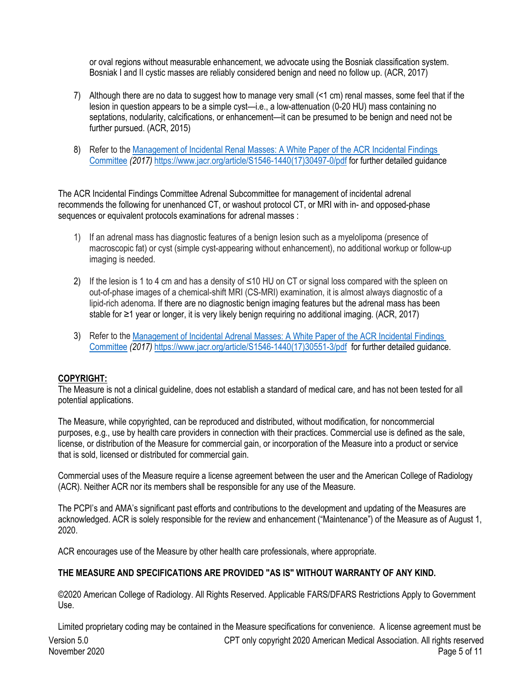or oval regions without measurable enhancement, we advocate using the Bosniak classification system. Bosniak I and II cystic masses are reliably considered benign and need no follow up. (ACR, 2017)

- 7) Although there are no data to suggest how to manage very small (<1 cm) renal masses, some feel that if the lesion in question appears to be a simple cyst—i.e., a low-attenuation (0-20 HU) mass containing no septations, nodularity, calcifications, or enhancement—it can be presumed to be benign and need not be further pursued. (ACR, 2015)
- 8) Refer to th[e Management of Incidental Renal Masses: A White Paper of the ACR Incidental Findings](https://www.jacr.org/article/S1546-1440(17)30551-3/pdf)  [Committee](https://www.jacr.org/article/S1546-1440(17)30551-3/pdf) *(2017)* [https://www.jacr.org/article/S1546-1440\(17\)30497-0/pdf](https://www.jacr.org/article/S1546-1440(17)30497-0/pdf) for further detailed guidance

The ACR Incidental Findings Committee Adrenal Subcommittee for management of incidental adrenal recommends the following for unenhanced CT, or washout protocol CT, or MRI with in- and opposed-phase sequences or equivalent protocols examinations for adrenal masses :

- 1) If an adrenal mass has diagnostic features of a benign lesion such as a myelolipoma (presence of macroscopic fat) or cyst (simple cyst-appearing without enhancement), no additional workup or follow-up imaging is needed.
- 2) If the lesion is 1 to 4 cm and has a density of ≤10 HU on CT or signal loss compared with the spleen on out-of-phase images of a chemical-shift MRI (CS-MRI) examination, it is almost always diagnostic of a lipid-rich adenoma. If there are no diagnostic benign imaging features but the adrenal mass has been stable for ≥1 year or longer, it is very likely benign requiring no additional imaging. (ACR, 2017)
- 3) Refer to th[e Management of Incidental Adrenal Masses: A White Paper of the ACR Incidental Findings](https://www.jacr.org/article/S1546-1440(17)30551-3/pdf)  [Committee](https://www.jacr.org/article/S1546-1440(17)30551-3/pdf) *(2017)* [https://www.jacr.org/article/S1546-1440\(17\)30551-3/pdf](https://www.jacr.org/article/S1546-1440(17)30551-3/pdf) for further detailed guidance.

### **COPYRIGHT:**

The Measure is not a clinical guideline, does not establish a standard of medical care, and has not been tested for all potential applications.

The Measure, while copyrighted, can be reproduced and distributed, without modification, for noncommercial purposes, e.g., use by health care providers in connection with their practices. Commercial use is defined as the sale, license, or distribution of the Measure for commercial gain, or incorporation of the Measure into a product or service that is sold, licensed or distributed for commercial gain.

Commercial uses of the Measure require a license agreement between the user and the American College of Radiology (ACR). Neither ACR nor its members shall be responsible for any use of the Measure.

The PCPI's and AMA's significant past efforts and contributions to the development and updating of the Measures are acknowledged. ACR is solely responsible for the review and enhancement ("Maintenance") of the Measure as of August 1, 2020.

ACR encourages use of the Measure by other health care professionals, where appropriate.

### **THE MEASURE AND SPECIFICATIONS ARE PROVIDED "AS IS" WITHOUT WARRANTY OF ANY KIND.**

©2020 American College of Radiology. All Rights Reserved. Applicable FARS/DFARS Restrictions Apply to Government Use.

Version 5.0 CPT only copyright 2020 American Medical Association. All rights reserved November 2020 Page 5 of 11 Limited proprietary coding may be contained in the Measure specifications for convenience. A license agreement must be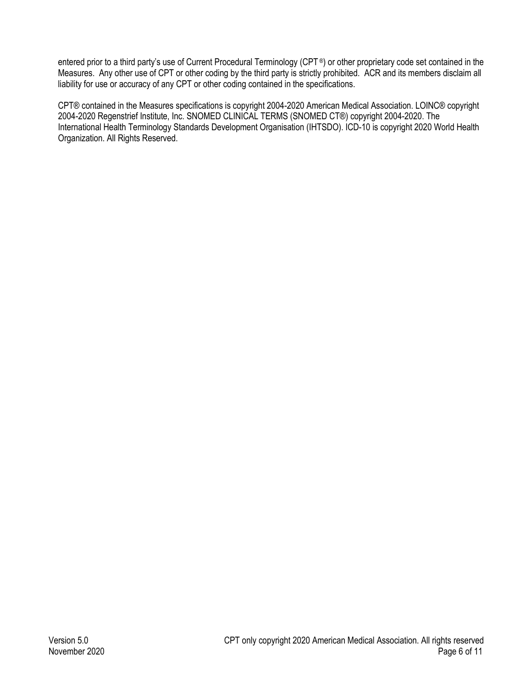entered prior to a third party's use of Current Procedural Terminology (CPT®) or other proprietary code set contained in the Measures. Any other use of CPT or other coding by the third party is strictly prohibited. ACR and its members disclaim all liability for use or accuracy of any CPT or other coding contained in the specifications.

CPT® contained in the Measures specifications is copyright 2004-2020 American Medical Association. LOINC® copyright 2004-2020 Regenstrief Institute, Inc. SNOMED CLINICAL TERMS (SNOMED CT®) copyright 2004-2020. The International Health Terminology Standards Development Organisation (IHTSDO). ICD-10 is copyright 2020 World Health Organization. All Rights Reserved.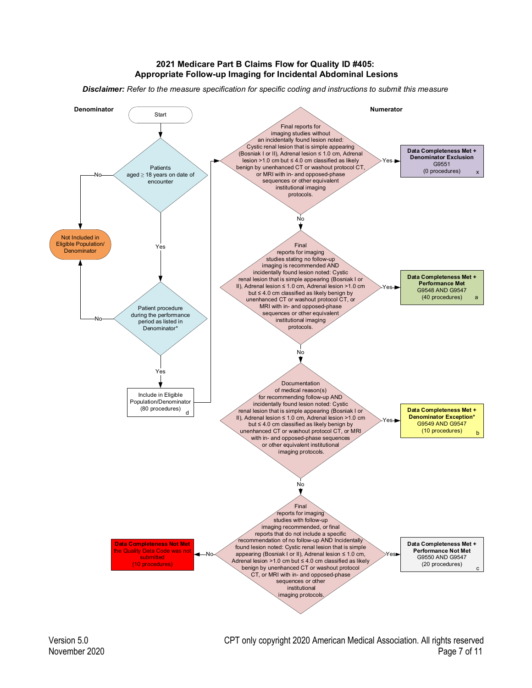#### **2021 Medicare Part B Claims Flow for Quality ID #405: Appropriate Follow-up Imaging for Incidental Abdominal Lesions**

*Disclaimer: Refer to the measure specification for specific coding and instructions to submit this measure* 



Version 5.0 CPT only copyright 2020 American Medical Association. All rights reserved November 2020 Page 7 of 11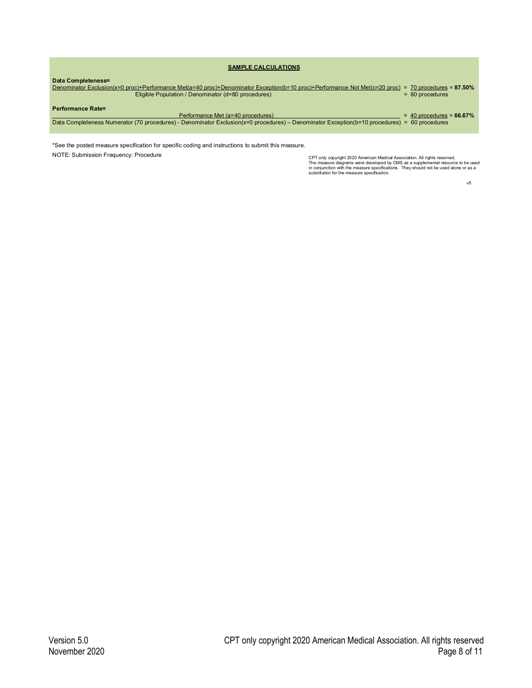| <b>SAMPLE CALCULATIONS</b>                                                                                                                                                                                                       |                            |
|----------------------------------------------------------------------------------------------------------------------------------------------------------------------------------------------------------------------------------|----------------------------|
| Data Completeness=<br>Denominator Exclusion(x=0 proc)+Performance Met(a=40 proc)+Denominator Exception(b=10 proc)+Performance Not Met(c=20 proc) = 70 procedures = 87.50%<br>Eligible Population / Denominator (d=80 procedures) | $= 80$ procedures          |
| <b>Performance Rate=</b><br>Performance Met (a=40 procedures)<br>Data Completeness Numerator (70 procedures) - Denominator Exclusion(x=0 procedures) – Denominator Exception(b=10 procedures) = 60 procedures                    | $= 40$ procedures = 66.67% |
|                                                                                                                                                                                                                                  |                            |

\*See the posted measure specification for specific coding and instructions to submit this measure.

NOTE: Submission Frequency: Procedure<br>The measure diagrams were developed by CMS as a supplemental resource to be used<br>in conjunction with the measure specifications. They should not be used<br>substitution for the measure sp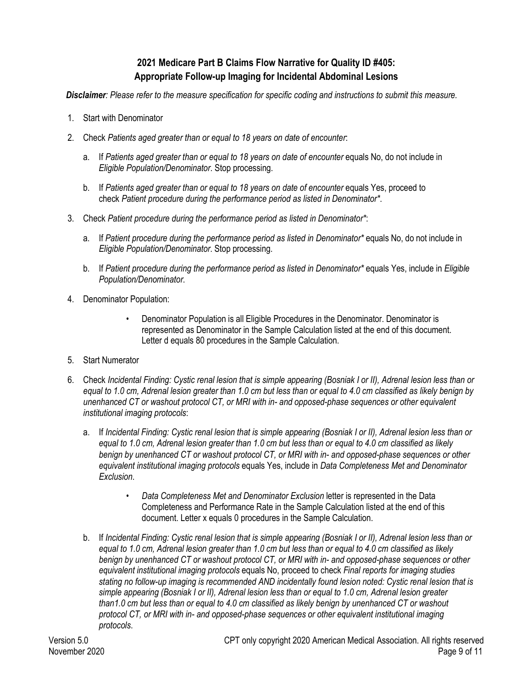# **2021 Medicare Part B Claims Flow Narrative for Quality ID #405: Appropriate Follow-up Imaging for Incidental Abdominal Lesions**

*Disclaimer: Please refer to the measure specification for specific coding and instructions to submit this measure.*

- 1. Start with Denominator
- 2. Check *Patients aged greater than or equal to 18 years on date of encounter*:
	- a. If *Patients aged greater than or equal to 18 years on date of encounter* equals No, do not include in *Eligible Population/Denominator*. Stop processing.
	- b. If *Patients aged greater than or equal to 18 years on date of encounter* equals Yes, proceed to check *Patient procedure during the performance period as listed in Denominator\**.
- 3. Check *Patient procedure during the performance period as listed in Denominator\**:
	- a. If *Patient procedure during the performance period as listed in Denominator\** equals No, do not include in *Eligible Population/Denominator*. Stop processing.
	- b. If *Patient procedure during the performance period as listed in Denominator\** equals Yes, include in *Eligible Population/Denominator*.
- 4. Denominator Population:
	- Denominator Population is all Eligible Procedures in the Denominator. Denominator is represented as Denominator in the Sample Calculation listed at the end of this document. Letter d equals 80 procedures in the Sample Calculation.
- 5. Start Numerator
- 6. Check *Incidental Finding: Cystic renal lesion that is simple appearing (Bosniak I or II), Adrenal lesion less than or equal to 1.0 cm, Adrenal lesion greater than 1.0 cm but less than or equal to 4.0 cm classified as likely benign by unenhanced CT or washout protocol CT, or MRI with in- and opposed-phase sequences or other equivalent institutional imaging protocols*:
	- a. If *Incidental Finding: Cystic renal lesion that is simple appearing (Bosniak I or II), Adrenal lesion less than or equal to 1.0 cm, Adrenal lesion greater than 1.0 cm but less than or equal to 4.0 cm classified as likely benign by unenhanced CT or washout protocol CT, or MRI with in- and opposed-phase sequences or other equivalent institutional imaging protocols* equals Yes, include in *Data Completeness Met and Denominator Exclusion*.
		- *Data Completeness Met and Denominator Exclusion* letter is represented in the Data Completeness and Performance Rate in the Sample Calculation listed at the end of this document. Letter x equals 0 procedures in the Sample Calculation.
	- b. If *Incidental Finding: Cystic renal lesion that is simple appearing (Bosniak I or II), Adrenal lesion less than or equal to 1.0 cm, Adrenal lesion greater than 1.0 cm but less than or equal to 4.0 cm classified as likely benign by unenhanced CT or washout protocol CT, or MRI with in- and opposed-phase sequences or other equivalent institutional imaging protocols* equals No, proceed to check *Final reports for imaging studies stating no follow-up imaging is recommended AND incidentally found lesion noted: Cystic renal lesion that is simple appearing (Bosniak I or II), Adrenal lesion less than or equal to 1.0 cm, Adrenal lesion greater than1.0 cm but less than or equal to 4.0 cm classified as likely benign by unenhanced CT or washout protocol CT, or MRI with in- and opposed-phase sequences or other equivalent institutional imaging protocols*.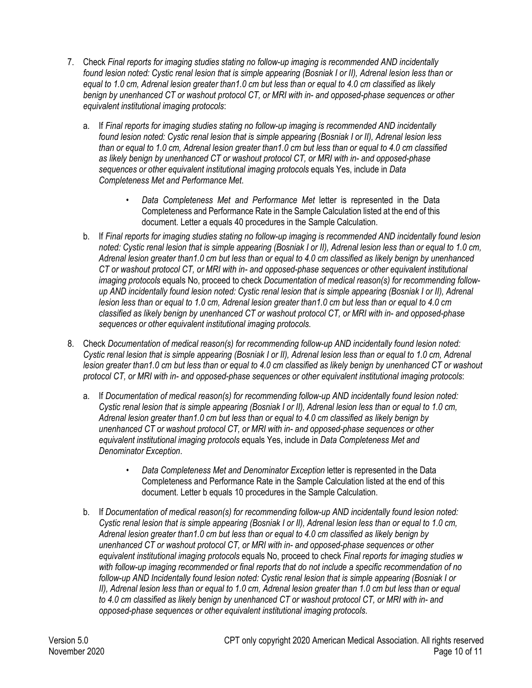- 7. Check *Final reports for imaging studies stating no follow-up imaging is recommended AND incidentally found lesion noted: Cystic renal lesion that is simple appearing (Bosniak I or II), Adrenal lesion less than or equal to 1.0 cm, Adrenal lesion greater than1.0 cm but less than or equal to 4.0 cm classified as likely benign by unenhanced CT or washout protocol CT, or MRI with in- and opposed-phase sequences or other equivalent institutional imaging protocols*:
	- a. If *Final reports for imaging studies stating no follow-up imaging is recommended AND incidentally found lesion noted: Cystic renal lesion that is simple appearing (Bosniak I or II), Adrenal lesion less than or equal to 1.0 cm, Adrenal lesion greater than1.0 cm but less than or equal to 4.0 cm classified as likely benign by unenhanced CT or washout protocol CT, or MRI with in- and opposed-phase sequences or other equivalent institutional imaging protocols* equals Yes, include in *Data Completeness Met and Performance Met*.
		- *Data Completeness Met and Performance Met* letter is represented in the Data Completeness and Performance Rate in the Sample Calculation listed at the end of this document. Letter a equals 40 procedures in the Sample Calculation.
	- b. If *Final reports for imaging studies stating no follow-up imaging is recommended AND incidentally found lesion noted: Cystic renal lesion that is simple appearing (Bosniak I or II), Adrenal lesion less than or equal to 1.0 cm, Adrenal lesion greater than1.0 cm but less than or equal to 4.0 cm classified as likely benign by unenhanced CT or washout protocol CT, or MRI with in- and opposed-phase sequences or other equivalent institutional imaging protocols* equals No, proceed to check *Documentation of medical reason(s) for recommending followup AND incidentally found lesion noted: Cystic renal lesion that is simple appearing (Bosniak I or II), Adrenal lesion less than or equal to 1.0 cm, Adrenal lesion greater than1.0 cm but less than or equal to 4.0 cm classified as likely benign by unenhanced CT or washout protocol CT, or MRI with in- and opposed-phase sequences or other equivalent institutional imaging protocols*.
- 8. Check *Documentation of medical reason(s) for recommending follow-up AND incidentally found lesion noted: Cystic renal lesion that is simple appearing (Bosniak I or II), Adrenal lesion less than or equal to 1.0 cm, Adrenal lesion greater than1.0 cm but less than or equal to 4.0 cm classified as likely benign by unenhanced CT or washout protocol CT, or MRI with in- and opposed-phase sequences or other equivalent institutional imaging protocols*:
	- a. If *Documentation of medical reason(s) for recommending follow-up AND incidentally found lesion noted: Cystic renal lesion that is simple appearing (Bosniak I or II), Adrenal lesion less than or equal to 1.0 cm, Adrenal lesion greater than1.0 cm but less than or equal to 4.0 cm classified as likely benign by unenhanced CT or washout protocol CT, or MRI with in- and opposed-phase sequences or other equivalent institutional imaging protocols* equals Yes, include in *Data Completeness Met and Denominator Exception*.
		- *Data Completeness Met and Denominator Exception* letter is represented in the Data Completeness and Performance Rate in the Sample Calculation listed at the end of this document. Letter b equals 10 procedures in the Sample Calculation.
	- b. If *Documentation of medical reason(s) for recommending follow-up AND incidentally found lesion noted: Cystic renal lesion that is simple appearing (Bosniak I or II), Adrenal lesion less than or equal to 1.0 cm, Adrenal lesion greater than1.0 cm but less than or equal to 4.0 cm classified as likely benign by unenhanced CT or washout protocol CT, or MRI with in- and opposed-phase sequences or other equivalent institutional imaging protocols* equals No, proceed to check *Final reports for imaging studies w with follow-up imaging recommended or final reports that do not include a specific recommendation of no follow-up AND Incidentally found lesion noted: Cystic renal lesion that is simple appearing (Bosniak I or II). Adrenal lesion less than or equal to 1.0 cm, Adrenal lesion greater than 1.0 cm but less than or equal to 4.0 cm classified as likely benign by unenhanced CT or washout protocol CT, or MRI with in- and opposed-phase sequences or other equivalent institutional imaging protocols*.